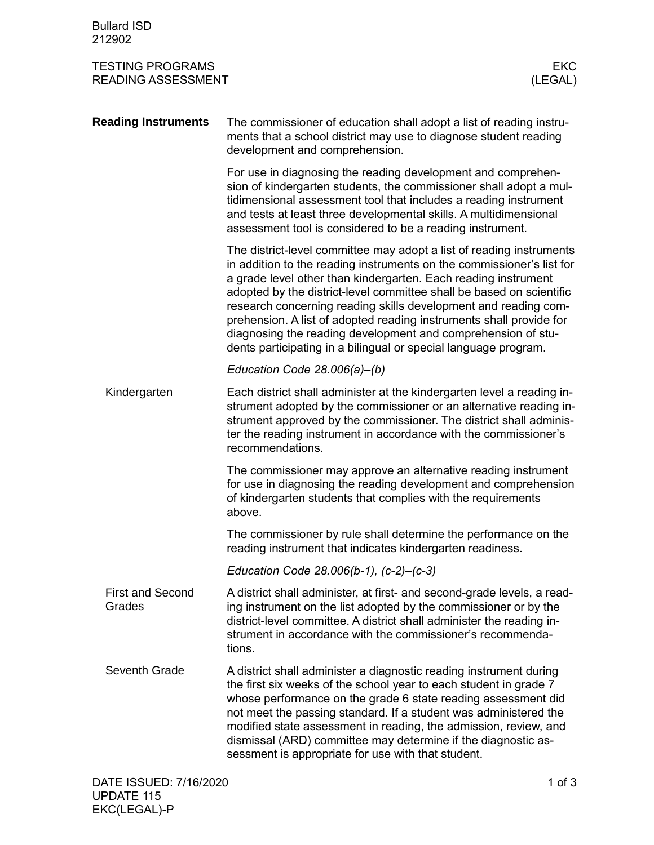| <b>Bullard ISD</b><br>212902                                                  |                                                                                                                                                                                                                                                                                                                                                                                                                                                                                                                                                                      |
|-------------------------------------------------------------------------------|----------------------------------------------------------------------------------------------------------------------------------------------------------------------------------------------------------------------------------------------------------------------------------------------------------------------------------------------------------------------------------------------------------------------------------------------------------------------------------------------------------------------------------------------------------------------|
| <b>TESTING PROGRAMS</b><br><b>EKC</b><br><b>READING ASSESSMENT</b><br>(LEGAL) |                                                                                                                                                                                                                                                                                                                                                                                                                                                                                                                                                                      |
| <b>Reading Instruments</b>                                                    | The commissioner of education shall adopt a list of reading instru-<br>ments that a school district may use to diagnose student reading<br>development and comprehension.                                                                                                                                                                                                                                                                                                                                                                                            |
|                                                                               | For use in diagnosing the reading development and comprehen-<br>sion of kindergarten students, the commissioner shall adopt a mul-<br>tidimensional assessment tool that includes a reading instrument<br>and tests at least three developmental skills. A multidimensional<br>assessment tool is considered to be a reading instrument.                                                                                                                                                                                                                             |
|                                                                               | The district-level committee may adopt a list of reading instruments<br>in addition to the reading instruments on the commissioner's list for<br>a grade level other than kindergarten. Each reading instrument<br>adopted by the district-level committee shall be based on scientific<br>research concerning reading skills development and reading com-<br>prehension. A list of adopted reading instruments shall provide for<br>diagnosing the reading development and comprehension of stu-<br>dents participating in a bilingual or special language program. |
|                                                                               | Education Code 28.006(a)-(b)                                                                                                                                                                                                                                                                                                                                                                                                                                                                                                                                         |
| Kindergarten                                                                  | Each district shall administer at the kindergarten level a reading in-<br>strument adopted by the commissioner or an alternative reading in-<br>strument approved by the commissioner. The district shall adminis-<br>ter the reading instrument in accordance with the commissioner's<br>recommendations.                                                                                                                                                                                                                                                           |
|                                                                               | The commissioner may approve an alternative reading instrument<br>for use in diagnosing the reading development and comprehension<br>of kindergarten students that complies with the requirements<br>above.                                                                                                                                                                                                                                                                                                                                                          |
|                                                                               | The commissioner by rule shall determine the performance on the<br>reading instrument that indicates kindergarten readiness.                                                                                                                                                                                                                                                                                                                                                                                                                                         |
|                                                                               | Education Code 28.006(b-1), $(c-2)-(c-3)$                                                                                                                                                                                                                                                                                                                                                                                                                                                                                                                            |
| <b>First and Second</b><br>Grades                                             | A district shall administer, at first- and second-grade levels, a read-<br>ing instrument on the list adopted by the commissioner or by the<br>district-level committee. A district shall administer the reading in-<br>strument in accordance with the commissioner's recommenda-<br>tions.                                                                                                                                                                                                                                                                         |
| Seventh Grade                                                                 | A district shall administer a diagnostic reading instrument during<br>the first six weeks of the school year to each student in grade 7<br>whose performance on the grade 6 state reading assessment did<br>not meet the passing standard. If a student was administered the<br>modified state assessment in reading, the admission, review, and<br>dismissal (ARD) committee may determine if the diagnostic as-<br>sessment is appropriate for use with that student.                                                                                              |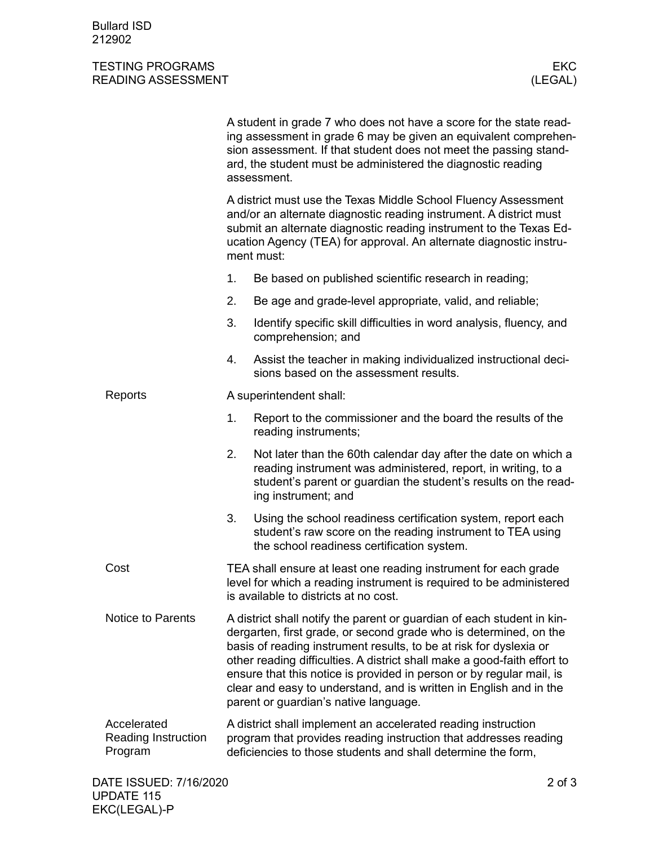Bullard ISD 212902

## TESTING PROGRAMS EKC<br>READING ASSESSMENT EXAMPLE TO A SECOND THE SECTION OF THE SECOND READING ASSESSMENT READING ASSESSMENT

|                                               |                                                                                                                                                                                                                                                                                                                                                                                                                                                                                      | A student in grade 7 who does not have a score for the state read-<br>ing assessment in grade 6 may be given an equivalent comprehen-<br>sion assessment. If that student does not meet the passing stand-<br>ard, the student must be administered the diagnostic reading<br>assessment. |  |  |
|-----------------------------------------------|--------------------------------------------------------------------------------------------------------------------------------------------------------------------------------------------------------------------------------------------------------------------------------------------------------------------------------------------------------------------------------------------------------------------------------------------------------------------------------------|-------------------------------------------------------------------------------------------------------------------------------------------------------------------------------------------------------------------------------------------------------------------------------------------|--|--|
|                                               | A district must use the Texas Middle School Fluency Assessment<br>and/or an alternate diagnostic reading instrument. A district must<br>submit an alternate diagnostic reading instrument to the Texas Ed-<br>ucation Agency (TEA) for approval. An alternate diagnostic instru-<br>ment must:                                                                                                                                                                                       |                                                                                                                                                                                                                                                                                           |  |  |
|                                               | 1.                                                                                                                                                                                                                                                                                                                                                                                                                                                                                   | Be based on published scientific research in reading;                                                                                                                                                                                                                                     |  |  |
|                                               | 2.                                                                                                                                                                                                                                                                                                                                                                                                                                                                                   | Be age and grade-level appropriate, valid, and reliable;                                                                                                                                                                                                                                  |  |  |
|                                               | 3.                                                                                                                                                                                                                                                                                                                                                                                                                                                                                   | Identify specific skill difficulties in word analysis, fluency, and<br>comprehension; and                                                                                                                                                                                                 |  |  |
|                                               | 4.                                                                                                                                                                                                                                                                                                                                                                                                                                                                                   | Assist the teacher in making individualized instructional deci-<br>sions based on the assessment results.                                                                                                                                                                                 |  |  |
| Reports                                       | A superintendent shall:                                                                                                                                                                                                                                                                                                                                                                                                                                                              |                                                                                                                                                                                                                                                                                           |  |  |
|                                               | 1.                                                                                                                                                                                                                                                                                                                                                                                                                                                                                   | Report to the commissioner and the board the results of the<br>reading instruments;                                                                                                                                                                                                       |  |  |
|                                               | 2.                                                                                                                                                                                                                                                                                                                                                                                                                                                                                   | Not later than the 60th calendar day after the date on which a<br>reading instrument was administered, report, in writing, to a<br>student's parent or guardian the student's results on the read-<br>ing instrument; and                                                                 |  |  |
|                                               | 3.                                                                                                                                                                                                                                                                                                                                                                                                                                                                                   | Using the school readiness certification system, report each<br>student's raw score on the reading instrument to TEA using<br>the school readiness certification system.                                                                                                                  |  |  |
| Cost                                          | TEA shall ensure at least one reading instrument for each grade<br>level for which a reading instrument is required to be administered<br>is available to districts at no cost.                                                                                                                                                                                                                                                                                                      |                                                                                                                                                                                                                                                                                           |  |  |
| <b>Notice to Parents</b>                      | A district shall notify the parent or guardian of each student in kin-<br>dergarten, first grade, or second grade who is determined, on the<br>basis of reading instrument results, to be at risk for dyslexia or<br>other reading difficulties. A district shall make a good-faith effort to<br>ensure that this notice is provided in person or by regular mail, is<br>clear and easy to understand, and is written in English and in the<br>parent or guardian's native language. |                                                                                                                                                                                                                                                                                           |  |  |
| Accelerated<br>Reading Instruction<br>Program | A district shall implement an accelerated reading instruction<br>program that provides reading instruction that addresses reading<br>deficiencies to those students and shall determine the form,                                                                                                                                                                                                                                                                                    |                                                                                                                                                                                                                                                                                           |  |  |